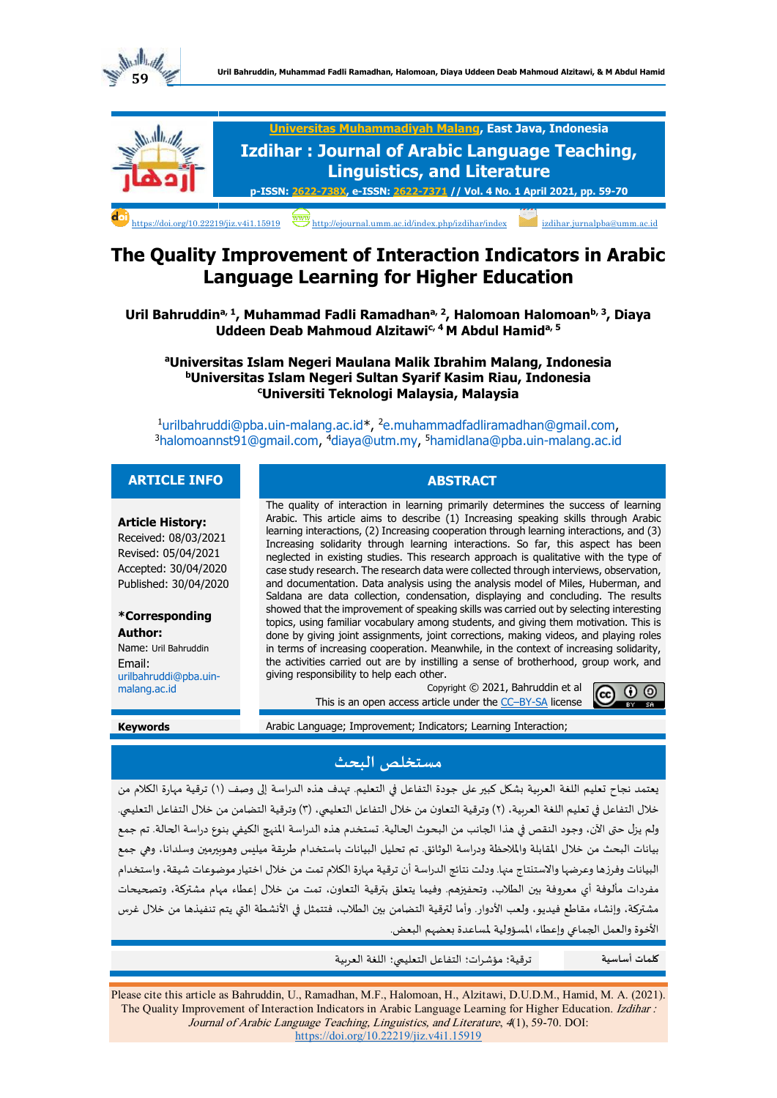



# **The Quality Improvement of Interaction Indicators in Arabic Language Learning for Higher Education**

Uril Bahruddin<sup>a, 1</sup>, Muhammad Fadli Ramadhan<sup>a, 2</sup>, Halomoan Halomoan<sup>b, 3</sup>, Diaya **Uddeen Deab Mahmoud Alzitawic, 4 M Abdul Hamida, 5**

**<sup>a</sup>Universitas Islam Negeri Maulana Malik Ibrahim Malang, Indonesia <sup>b</sup>Universitas Islam Negeri Sultan Syarif Kasim Riau, Indonesia <sup>c</sup>Universiti Teknologi Malaysia, Malaysia**

<sup>1</sup>[urilbahruddi@pba.uin-malang.ac.id\\*](mailto:urilbahruddi@pba.uin-malang.ac.id), <sup>2</sup>[e.muhammadfadliramadhan@gmail.com,](e.muhammadfadliramadhan@gmail.com) <sup>3</sup>[halomoannst91@gmail.com,](halomoannst91@gmail.com) <sup>4</sup>[diaya@utm.my,](diaya@utm.my) <sup>5</sup><hamidlana@pba.uin-malang.ac.id>

## **ARTICLE INFO ABSTRACT**

#### **Article History:**

Received: 08/03/2021 Revised: 05/04/2021 Accepted: 30/04/2020 Published: 30/04/2020

### **\*Corresponding Author:**

Name: Uril Bahruddin Email: [urilbahruddi@pba.uin](mailto:urilbahruddi@pba.uin-malang.ac.id)[malang.ac.id](mailto:urilbahruddi@pba.uin-malang.ac.id)

The quality of interaction in learning primarily determines the success of learning Arabic. This article aims to describe (1) Increasing speaking skills through Arabic learning interactions, (2) Increasing cooperation through learning interactions, and (3) Increasing solidarity through learning interactions. So far, this aspect has been neglected in existing studies. This research approach is qualitative with the type of case study research. The research data were collected through interviews, observation, and documentation. Data analysis using the analysis model of Miles, Huberman, and Saldana are data collection, condensation, displaying and concluding. The results showed that the improvement of speaking skills was carried out by selecting interesting topics, using familiar vocabulary among students, and giving them motivation. This is done by giving joint assignments, joint corrections, making videos, and playing roles in terms of increasing cooperation. Meanwhile, in the context of increasing solidarity, the activities carried out are by instilling a sense of brotherhood, group work, and giving responsibility to help each other.

Copyright © 2021, Bahruddin et al This is an open access article under the CC-[BY-SA](http://creativecommons.org/licenses/by-sa/4.0/) license



#### **Keywords** Arabic Language; Improvement; Indicators; Learning Interaction;

# **مستخلص البحث**

يعتمد نجاح تعليم اللغة العربية بشكل كبير على جودة التفاعل في التعليم. تهدف هذه الدراسة إلى وصف )1( ترقية مهارة الكالم من خلال التفاعل في تعليم اللغة العربية، (٢) وترقية التعاون من خلال التفاعل التعليمي، (٣) وترقية التضامن من خلال التفاعل التعليمي. ولم يزل حتى الآن، وجود النقص في هذا الجانب من البحوث الحالية. تستخدم هذه الدراسة المنهج الكيفي بنوع دراسة الحالة. تم جمع بيانات البحث من خالل املقابلة واملالحظة و دراسة الوثائق. تم تحليل البيانات باستخدام طريقة ميليس وهوبيرمين وسلدانا، وهي جمع البيانات وفرزها وعرضها واالستنتاج منها. ودلت نتائج الدراسة أن ترقية مهارة الكالم تمت من خالل اختيار موضوعات شيقة، واستخدام مفردات مألوفة أي معروفة بين الطالب، وتحفيزهم. و فيما يتعلق بترقية التعاون، تمت من خالل إعطاء مهام مشتركة، وتصحيحات مشتركة، وإنشاء مقاطع فيديو، ولعب األدوار. و أما لترقية التضامن بين الطالب ، فتتمثل في األنشطة التي يتم تنفيذها من خالل غرس الأخوة والعمل الجماعي وإعطاء المسؤولية لمساعدة بعضهم البعض.

**كلمات أساسية** ترقية؛ مؤشرات؛ التفاعل التعليمي ؛ اللغة العربية

Please cite this article as Bahruddin, U., Ramadhan, M.F., Halomoan, H., Alzitawi, D.U.D.M., Hamid, M. A. (2021). The Quality Improvement of Interaction Indicators in Arabic Language Learning for Higher Education. Izdihar : Journal of Arabic Language Teaching, Linguistics, and Literature, 4(1), 59-70. DOI: [https://doi.org/10.22219/jiz.v4i1.15919](https://ejournal.umm.ac.id/index.php/izdihar/article/view/15919)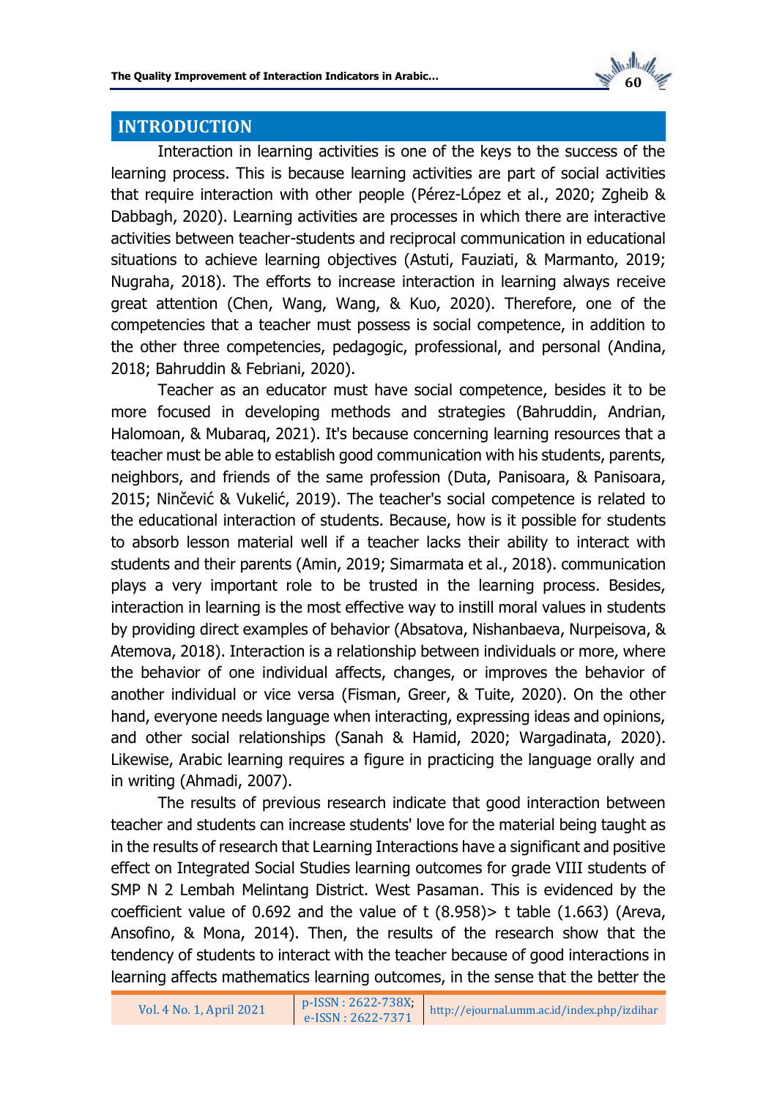

# **INTRODUCTION**

Interaction in learning activities is one of the keys to the success of the learning process. This is because learning activities are part of social activities that require interaction with other people (Pérez-López et al., 2020; Zgheib & Dabbagh, 2020). Learning activities are processes in which there are interactive activities between teacher-students and reciprocal communication in educational situations to achieve learning objectives (Astuti, Fauziati, & Marmanto, 2019; Nugraha, 2018). The efforts to increase interaction in learning always receive great attention (Chen, Wang, Wang, & Kuo, 2020). Therefore, one of the competencies that a teacher must possess is social competence, in addition to the other three competencies, pedagogic, professional, and personal (Andina, 2018; Bahruddin & Febriani, 2020).

Teacher as an educator must have social competence, besides it to be more focused in developing methods and strategies (Bahruddin, Andrian, Halomoan, & Mubaraq, 2021). It's because concerning learning resources that a teacher must be able to establish good communication with his students, parents, neighbors, and friends of the same profession (Duta, Panisoara, & Panisoara, 2015; Ninčević & Vukelić, 2019). The teacher's social competence is related to the educational interaction of students. Because, how is it possible for students to absorb lesson material well if a teacher lacks their ability to interact with students and their parents (Amin, 2019; Simarmata et al., 2018). communication plays a very important role to be trusted in the learning process. Besides, interaction in learning is the most effective way to instill moral values in students by providing direct examples of behavior (Absatova, Nishanbaeva, Nurpeisova, & Atemova, 2018). Interaction is a relationship between individuals or more, where the behavior of one individual affects, changes, or improves the behavior of another individual or vice versa (Fisman, Greer, & Tuite, 2020). On the other hand, everyone needs language when interacting, expressing ideas and opinions, and other social relationships (Sanah & Hamid, 2020; Wargadinata, 2020). Likewise, Arabic learning requires a figure in practicing the language orally and in writing (Ahmadi, 2007).

The results of previous research indicate that good interaction between teacher and students can increase students' love for the material being taught as in the results of research that Learning Interactions have a significant and positive effect on Integrated Social Studies learning outcomes for grade VIII students of SMP N 2 Lembah Melintang District. West Pasaman. This is evidenced by the coefficient value of 0.692 and the value of t  $(8.958)$  t table  $(1.663)$  (Areva, Ansofino, & Mona, 2014). Then, the results of the research show that the tendency of students to interact with the teacher because of good interactions in learning affects mathematics learning outcomes, in the sense that the better the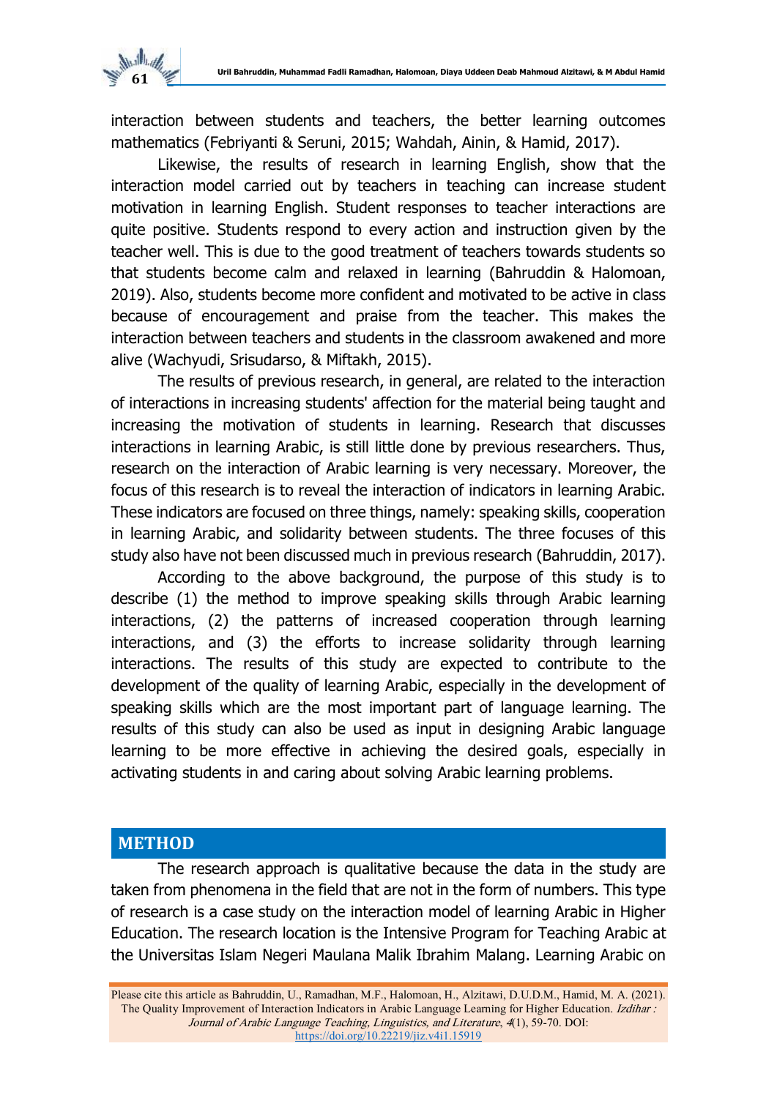

interaction between students and teachers, the better learning outcomes mathematics (Febriyanti & Seruni, 2015; Wahdah, Ainin, & Hamid, 2017).

Likewise, the results of research in learning English, show that the interaction model carried out by teachers in teaching can increase student motivation in learning English. Student responses to teacher interactions are quite positive. Students respond to every action and instruction given by the teacher well. This is due to the good treatment of teachers towards students so that students become calm and relaxed in learning (Bahruddin & Halomoan, 2019). Also, students become more confident and motivated to be active in class because of encouragement and praise from the teacher. This makes the interaction between teachers and students in the classroom awakened and more alive (Wachyudi, Srisudarso, & Miftakh, 2015).

The results of previous research, in general, are related to the interaction of interactions in increasing students' affection for the material being taught and increasing the motivation of students in learning. Research that discusses interactions in learning Arabic, is still little done by previous researchers. Thus, research on the interaction of Arabic learning is very necessary. Moreover, the focus of this research is to reveal the interaction of indicators in learning Arabic. These indicators are focused on three things, namely: speaking skills, cooperation in learning Arabic, and solidarity between students. The three focuses of this study also have not been discussed much in previous research (Bahruddin, 2017).

According to the above background, the purpose of this study is to describe (1) the method to improve speaking skills through Arabic learning interactions, (2) the patterns of increased cooperation through learning interactions, and (3) the efforts to increase solidarity through learning interactions. The results of this study are expected to contribute to the development of the quality of learning Arabic, especially in the development of speaking skills which are the most important part of language learning. The results of this study can also be used as input in designing Arabic language learning to be more effective in achieving the desired goals, especially in activating students in and caring about solving Arabic learning problems.

## **METHOD**

The research approach is qualitative because the data in the study are taken from phenomena in the field that are not in the form of numbers. This type of research is a case study on the interaction model of learning Arabic in Higher Education. The research location is the Intensive Program for Teaching Arabic at the Universitas Islam Negeri Maulana Malik Ibrahim Malang. Learning Arabic on

Please cite this article as Bahruddin, U., Ramadhan, M.F., Halomoan, H., Alzitawi, D.U.D.M., Hamid, M. A. (2021). The Quality Improvement of Interaction Indicators in Arabic Language Learning for Higher Education. Izdihar : Journal of Arabic Language Teaching, Linguistics, and Literature, 4(1), 59-70. DOI: [https://doi.org/10.22219/jiz.v4i1.15919](https://ejournal.umm.ac.id/index.php/izdihar/article/view/15919)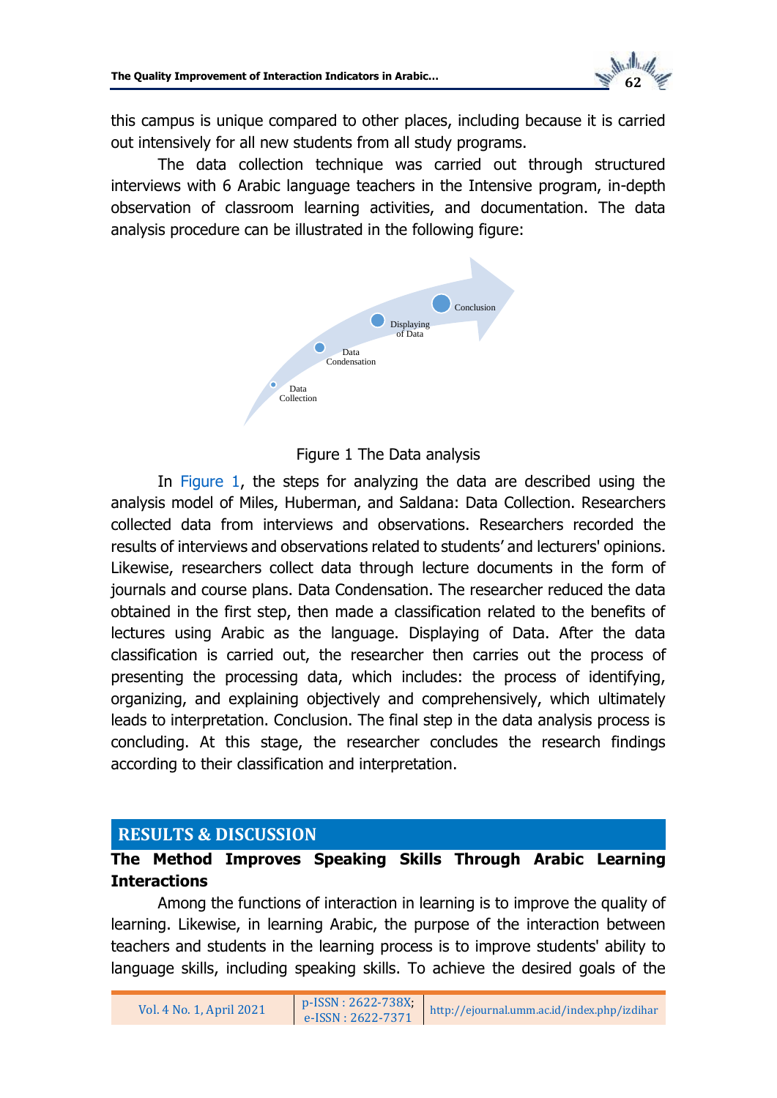

this campus is unique compared to other places, including because it is carried out intensively for all new students from all study programs.

<span id="page-3-0"></span>The data collection technique was carried out through structured interviews with 6 Arabic language teachers in the Intensive program, in-depth observation of classroom learning activities, and documentation. The data analysis procedure can be illustrated in the following figure:



## Figure 1 The Data analysis

In [Figure 1,](#page-3-0) the steps for analyzing the data are described using the analysis model of Miles, Huberman, and Saldana: Data Collection. Researchers collected data from interviews and observations. Researchers recorded the results of interviews and observations related to students' and lecturers' opinions. Likewise, researchers collect data through lecture documents in the form of journals and course plans. Data Condensation. The researcher reduced the data obtained in the first step, then made a classification related to the benefits of lectures using Arabic as the language. Displaying of Data. After the data classification is carried out, the researcher then carries out the process of presenting the processing data, which includes: the process of identifying, organizing, and explaining objectively and comprehensively, which ultimately leads to interpretation. Conclusion. The final step in the data analysis process is concluding. At this stage, the researcher concludes the research findings according to their classification and interpretation.

# **RESULTS & DISCUSSION**

# **The Method Improves Speaking Skills Through Arabic Learning Interactions**

Among the functions of interaction in learning is to improve the quality of learning. Likewise, in learning Arabic, the purpose of the interaction between teachers and students in the learning process is to improve students' ability to language skills, including speaking skills. To achieve the desired goals of the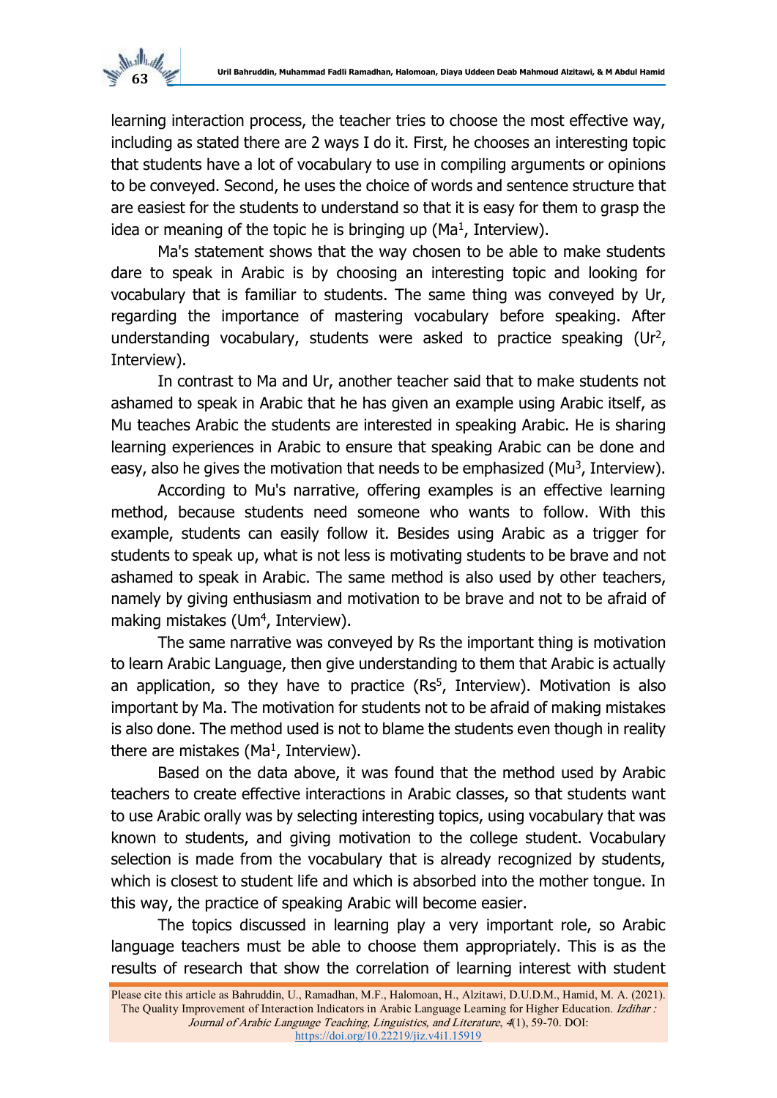

learning interaction process, the teacher tries to choose the most effective way, including as stated there are 2 ways I do it. First, he chooses an interesting topic that students have a lot of vocabulary to use in compiling arguments or opinions to be conveyed. Second, he uses the choice of words and sentence structure that are easiest for the students to understand so that it is easy for them to grasp the idea or meaning of the topic he is bringing up (Ma<sup>1</sup>, Interview).

Ma's statement shows that the way chosen to be able to make students dare to speak in Arabic is by choosing an interesting topic and looking for vocabulary that is familiar to students. The same thing was conveyed by Ur, regarding the importance of mastering vocabulary before speaking. After understanding vocabulary, students were asked to practice speaking (Ur<sup>2</sup>, Interview).

In contrast to Ma and Ur, another teacher said that to make students not ashamed to speak in Arabic that he has given an example using Arabic itself, as Mu teaches Arabic the students are interested in speaking Arabic. He is sharing learning experiences in Arabic to ensure that speaking Arabic can be done and easy, also he gives the motivation that needs to be emphasized (Mu<sup>3</sup>, Interview).

According to Mu's narrative, offering examples is an effective learning method, because students need someone who wants to follow. With this example, students can easily follow it. Besides using Arabic as a trigger for students to speak up, what is not less is motivating students to be brave and not ashamed to speak in Arabic. The same method is also used by other teachers, namely by giving enthusiasm and motivation to be brave and not to be afraid of making mistakes (Um<sup>4</sup>, Interview).

The same narrative was conveyed by Rs the important thing is motivation to learn Arabic Language, then give understanding to them that Arabic is actually an application, so they have to practice  $(Rs^5, Interview)$ . Motivation is also important by Ma. The motivation for students not to be afraid of making mistakes is also done. The method used is not to blame the students even though in reality there are mistakes (Ma<sup>1</sup>, Interview).

Based on the data above, it was found that the method used by Arabic teachers to create effective interactions in Arabic classes, so that students want to use Arabic orally was by selecting interesting topics, using vocabulary that was known to students, and giving motivation to the college student. Vocabulary selection is made from the vocabulary that is already recognized by students, which is closest to student life and which is absorbed into the mother tongue. In this way, the practice of speaking Arabic will become easier.

The topics discussed in learning play a very important role, so Arabic language teachers must be able to choose them appropriately. This is as the results of research that show the correlation of learning interest with student

Please cite this article as Bahruddin, U., Ramadhan, M.F., Halomoan, H., Alzitawi, D.U.D.M., Hamid, M. A. (2021). The Quality Improvement of Interaction Indicators in Arabic Language Learning for Higher Education. Izdihar : Journal of Arabic Language Teaching, Linguistics, and Literature, 4(1), 59-70. DOI: [https://doi.org/10.22219/jiz.v4i1.15919](https://ejournal.umm.ac.id/index.php/izdihar/article/view/15919)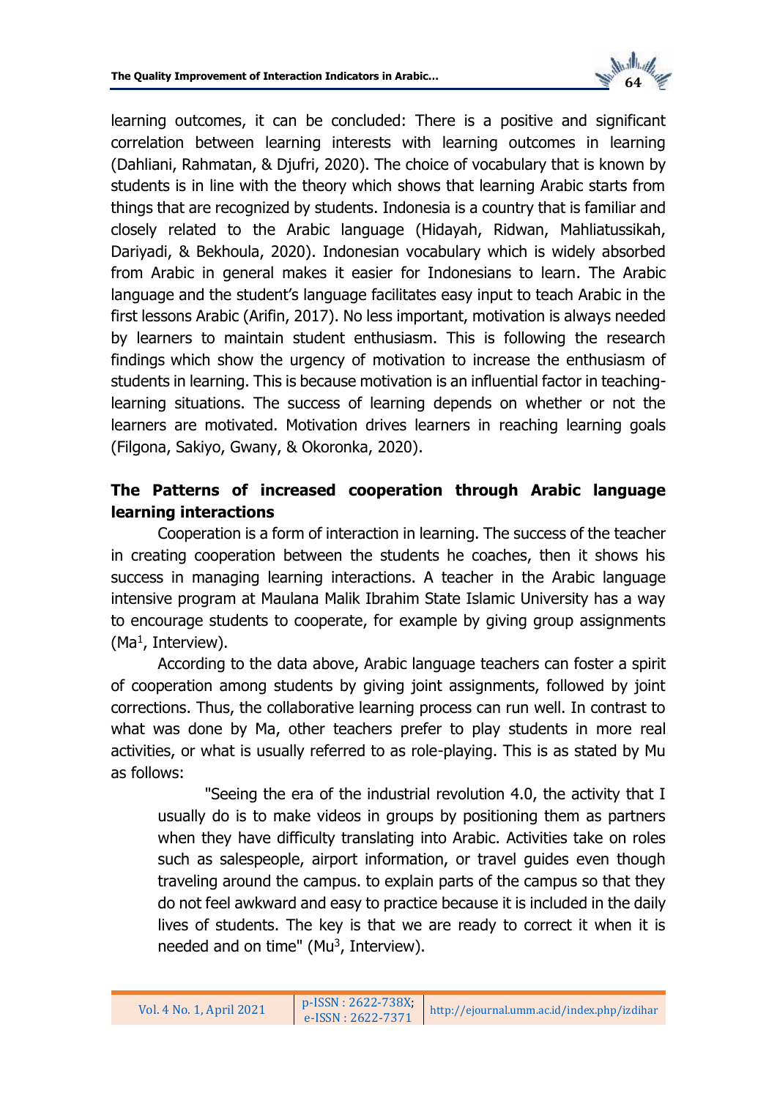

learning outcomes, it can be concluded: There is a positive and significant correlation between learning interests with learning outcomes in learning (Dahliani, Rahmatan, & Djufri, 2020). The choice of vocabulary that is known by students is in line with the theory which shows that learning Arabic starts from things that are recognized by students. Indonesia is a country that is familiar and closely related to the Arabic language (Hidayah, Ridwan, Mahliatussikah, Dariyadi, & Bekhoula, 2020). Indonesian vocabulary which is widely absorbed from Arabic in general makes it easier for Indonesians to learn. The Arabic language and the student's language facilitates easy input to teach Arabic in the first lessons Arabic (Arifin, 2017). No less important, motivation is always needed by learners to maintain student enthusiasm. This is following the research findings which show the urgency of motivation to increase the enthusiasm of students in learning. This is because motivation is an influential factor in teachinglearning situations. The success of learning depends on whether or not the learners are motivated. Motivation drives learners in reaching learning goals (Filgona, Sakiyo, Gwany, & Okoronka, 2020).

# **The Patterns of increased cooperation through Arabic language learning interactions**

Cooperation is a form of interaction in learning. The success of the teacher in creating cooperation between the students he coaches, then it shows his success in managing learning interactions. A teacher in the Arabic language intensive program at Maulana Malik Ibrahim State Islamic University has a way to encourage students to cooperate, for example by giving group assignments (Ma<sup>1</sup>, Interview).

According to the data above, Arabic language teachers can foster a spirit of cooperation among students by giving joint assignments, followed by joint corrections. Thus, the collaborative learning process can run well. In contrast to what was done by Ma, other teachers prefer to play students in more real activities, or what is usually referred to as role-playing. This is as stated by Mu as follows:

"Seeing the era of the industrial revolution 4.0, the activity that I usually do is to make videos in groups by positioning them as partners when they have difficulty translating into Arabic. Activities take on roles such as salespeople, airport information, or travel guides even though traveling around the campus. to explain parts of the campus so that they do not feel awkward and easy to practice because it is included in the daily lives of students. The key is that we are ready to correct it when it is needed and on time" (Mu<sup>3</sup>, Interview).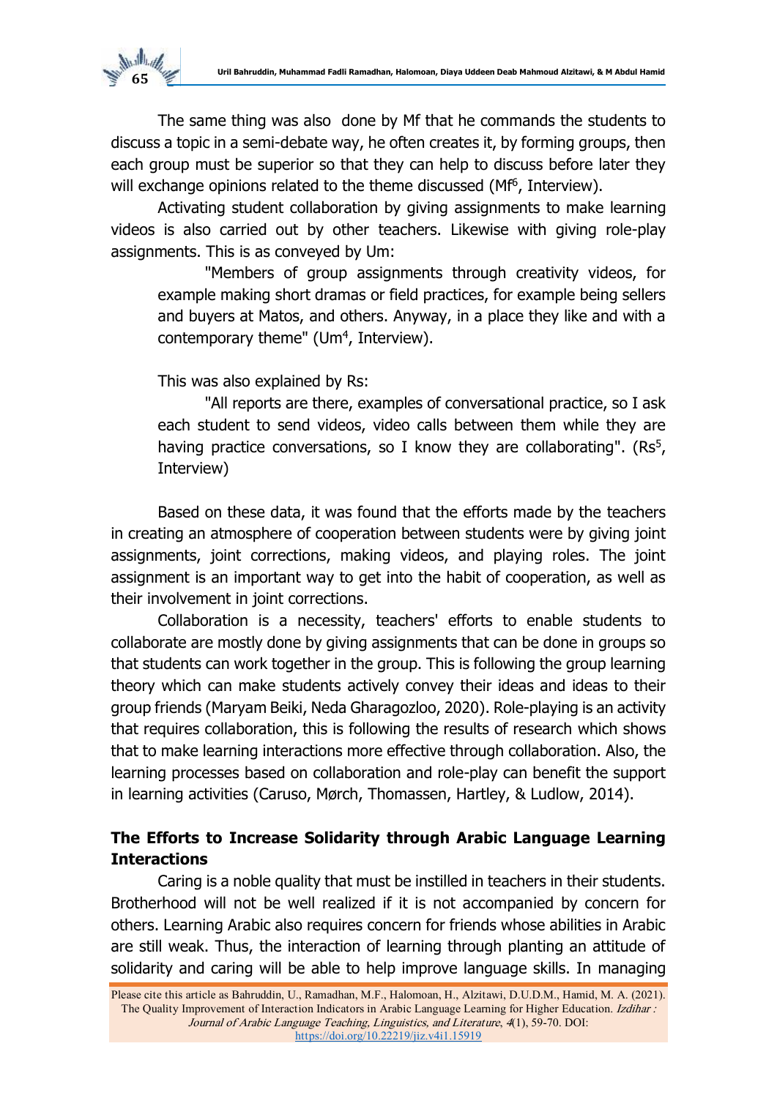

The same thing was also done by Mf that he commands the students to discuss a topic in a semi-debate way, he often creates it, by forming groups, then each group must be superior so that they can help to discuss before later they will exchange opinions related to the theme discussed (Mf<sup>6</sup>, Interview).

Activating student collaboration by giving assignments to make learning videos is also carried out by other teachers. Likewise with giving role-play assignments. This is as conveyed by Um:

"Members of group assignments through creativity videos, for example making short dramas or field practices, for example being sellers and buyers at Matos, and others. Anyway, in a place they like and with a contemporary theme" (Um<sup>4</sup>, Interview).

This was also explained by Rs:

"All reports are there, examples of conversational practice, so I ask each student to send videos, video calls between them while they are having practice conversations, so I know they are collaborating".  $(Rs<sup>5</sup>,$ Interview)

Based on these data, it was found that the efforts made by the teachers in creating an atmosphere of cooperation between students were by giving joint assignments, joint corrections, making videos, and playing roles. The joint assignment is an important way to get into the habit of cooperation, as well as their involvement in joint corrections.

Collaboration is a necessity, teachers' efforts to enable students to collaborate are mostly done by giving assignments that can be done in groups so that students can work together in the group. This is following the group learning theory which can make students actively convey their ideas and ideas to their group friends (Maryam Beiki, Neda Gharagozloo, 2020). Role-playing is an activity that requires collaboration, this is following the results of research which shows that to make learning interactions more effective through collaboration. Also, the learning processes based on collaboration and role-play can benefit the support in learning activities (Caruso, Mørch, Thomassen, Hartley, & Ludlow, 2014).

# **The Efforts to Increase Solidarity through Arabic Language Learning Interactions**

Caring is a noble quality that must be instilled in teachers in their students. Brotherhood will not be well realized if it is not accompanied by concern for others. Learning Arabic also requires concern for friends whose abilities in Arabic are still weak. Thus, the interaction of learning through planting an attitude of solidarity and caring will be able to help improve language skills. In managing

Please cite this article as Bahruddin, U., Ramadhan, M.F., Halomoan, H., Alzitawi, D.U.D.M., Hamid, M. A. (2021). The Quality Improvement of Interaction Indicators in Arabic Language Learning for Higher Education. Izdihar : Journal of Arabic Language Teaching, Linguistics, and Literature, 4(1), 59-70. DOI: [https://doi.org/10.22219/jiz.v4i1.15919](https://ejournal.umm.ac.id/index.php/izdihar/article/view/15919)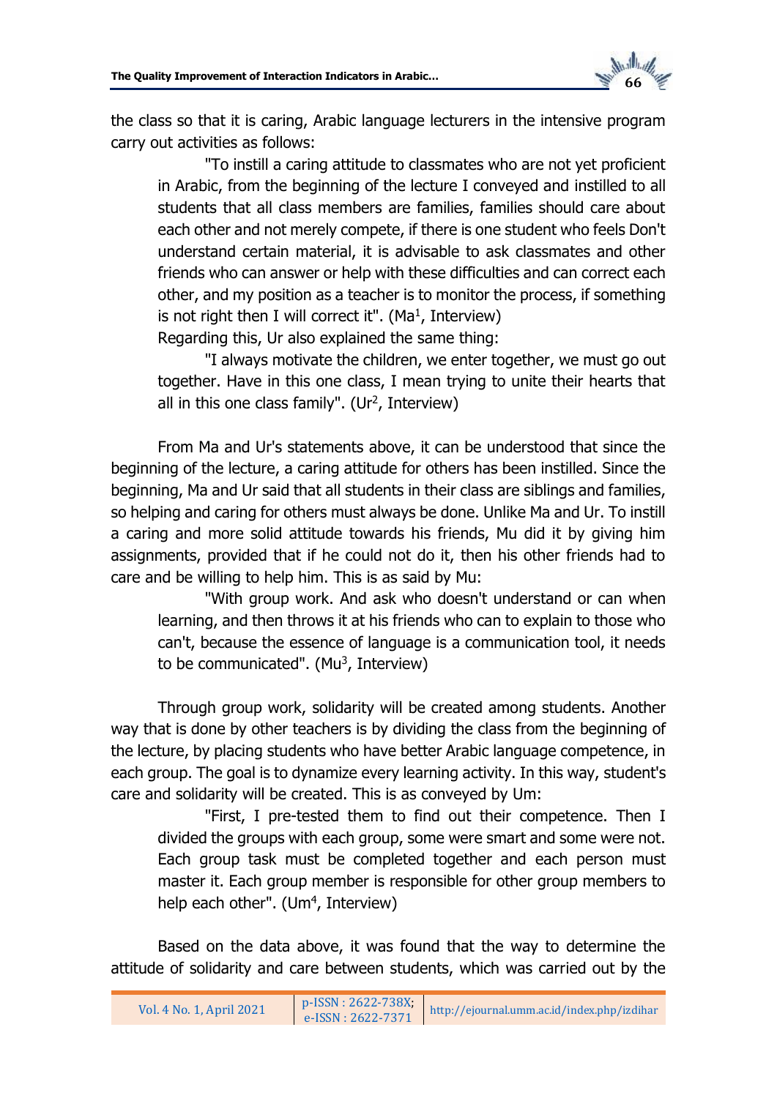

the class so that it is caring, Arabic language lecturers in the intensive program carry out activities as follows:

"To instill a caring attitude to classmates who are not yet proficient in Arabic, from the beginning of the lecture I conveyed and instilled to all students that all class members are families, families should care about each other and not merely compete, if there is one student who feels Don't understand certain material, it is advisable to ask classmates and other friends who can answer or help with these difficulties and can correct each other, and my position as a teacher is to monitor the process, if something is not right then I will correct it". (Ma<sup>1</sup>, Interview)

Regarding this, Ur also explained the same thing:

"I always motivate the children, we enter together, we must go out together. Have in this one class, I mean trying to unite their hearts that all in this one class family". (Ur<sup>2</sup>, Interview)

From Ma and Ur's statements above, it can be understood that since the beginning of the lecture, a caring attitude for others has been instilled. Since the beginning, Ma and Ur said that all students in their class are siblings and families, so helping and caring for others must always be done. Unlike Ma and Ur. To instill a caring and more solid attitude towards his friends, Mu did it by giving him assignments, provided that if he could not do it, then his other friends had to care and be willing to help him. This is as said by Mu:

"With group work. And ask who doesn't understand or can when learning, and then throws it at his friends who can to explain to those who can't, because the essence of language is a communication tool, it needs to be communicated".  $(Mu<sup>3</sup>, Interview)$ 

Through group work, solidarity will be created among students. Another way that is done by other teachers is by dividing the class from the beginning of the lecture, by placing students who have better Arabic language competence, in each group. The goal is to dynamize every learning activity. In this way, student's care and solidarity will be created. This is as conveyed by Um:

"First, I pre-tested them to find out their competence. Then I divided the groups with each group, some were smart and some were not. Each group task must be completed together and each person must master it. Each group member is responsible for other group members to help each other". (Um<sup>4</sup>, Interview)

Based on the data above, it was found that the way to determine the attitude of solidarity and care between students, which was carried out by the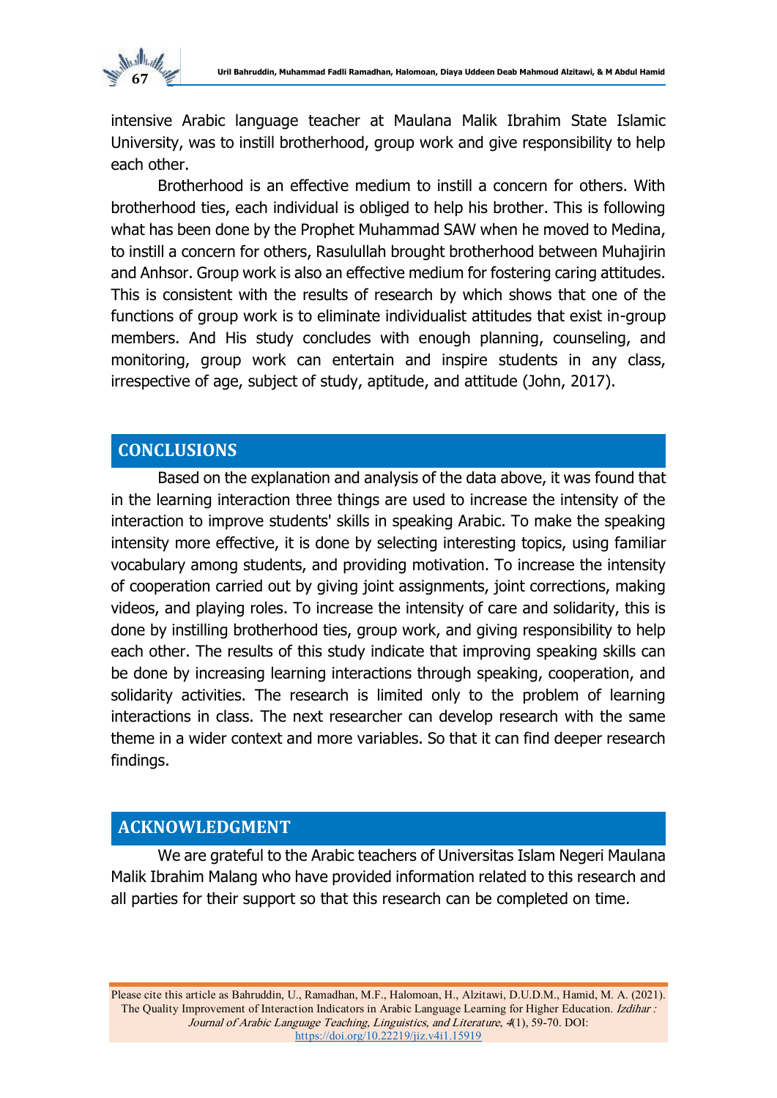

intensive Arabic language teacher at Maulana Malik Ibrahim State Islamic University, was to instill brotherhood, group work and give responsibility to help each other.

Brotherhood is an effective medium to instill a concern for others. With brotherhood ties, each individual is obliged to help his brother. This is following what has been done by the Prophet Muhammad SAW when he moved to Medina, to instill a concern for others, Rasulullah brought brotherhood between Muhajirin and Anhsor. Group work is also an effective medium for fostering caring attitudes. This is consistent with the results of research by which shows that one of the functions of group work is to eliminate individualist attitudes that exist in-group members. And His study concludes with enough planning, counseling, and monitoring, group work can entertain and inspire students in any class, irrespective of age, subject of study, aptitude, and attitude (John, 2017).

# **CONCLUSIONS**

Based on the explanation and analysis of the data above, it was found that in the learning interaction three things are used to increase the intensity of the interaction to improve students' skills in speaking Arabic. To make the speaking intensity more effective, it is done by selecting interesting topics, using familiar vocabulary among students, and providing motivation. To increase the intensity of cooperation carried out by giving joint assignments, joint corrections, making videos, and playing roles. To increase the intensity of care and solidarity, this is done by instilling brotherhood ties, group work, and giving responsibility to help each other. The results of this study indicate that improving speaking skills can be done by increasing learning interactions through speaking, cooperation, and solidarity activities. The research is limited only to the problem of learning interactions in class. The next researcher can develop research with the same theme in a wider context and more variables. So that it can find deeper research findings.

# **ACKNOWLEDGMENT**

We are grateful to the Arabic teachers of Universitas Islam Negeri Maulana Malik Ibrahim Malang who have provided information related to this research and all parties for their support so that this research can be completed on time.

Please cite this article as Bahruddin, U., Ramadhan, M.F., Halomoan, H., Alzitawi, D.U.D.M., Hamid, M. A. (2021). The Quality Improvement of Interaction Indicators in Arabic Language Learning for Higher Education. Izdihar : Journal of Arabic Language Teaching, Linguistics, and Literature, 4(1), 59-70. DOI: [https://doi.org/10.22219/jiz.v4i1.15919](https://ejournal.umm.ac.id/index.php/izdihar/article/view/15919)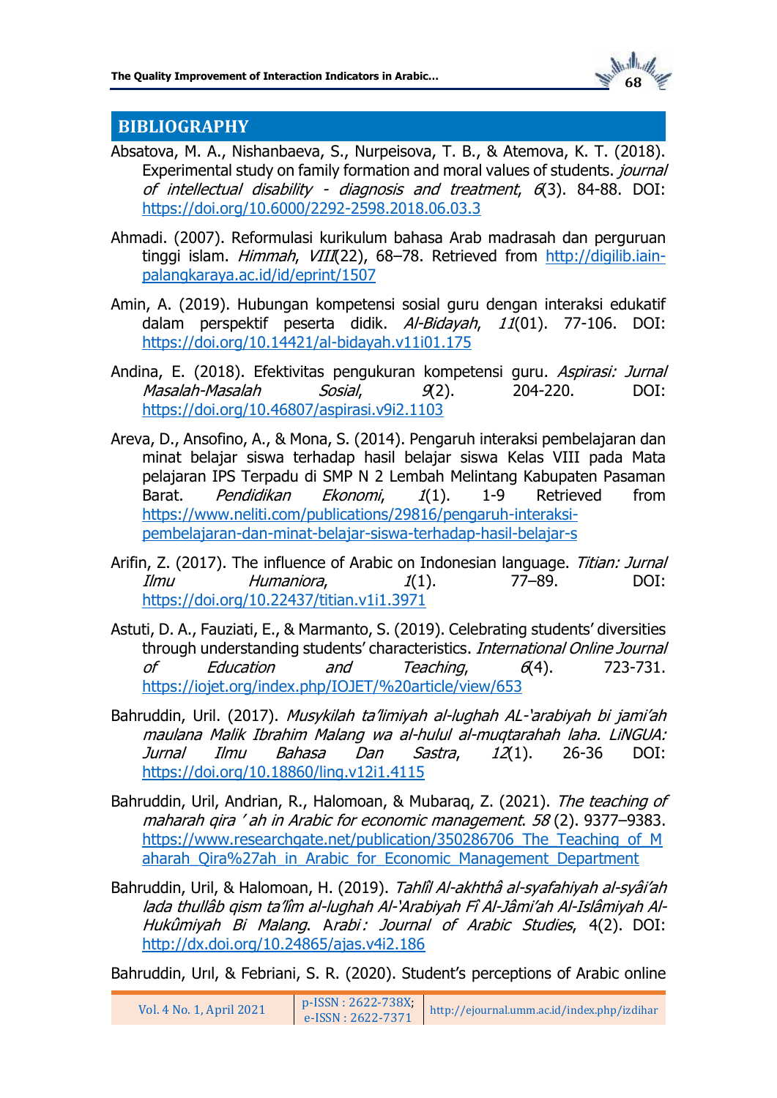

# **BIBLIOGRAPHY**

- Absatova, M. A., Nishanbaeva, S., Nurpeisova, T. B., & Atemova, K. T. (2018). Experimental study on family formation and moral values of students. journal of intellectual disability - diagnosis and treatment, 6(3). 84-88. DOI: <https://doi.org/10.6000/2292-2598.2018.06.03.3>
- Ahmadi. (2007). Reformulasi kurikulum bahasa Arab madrasah dan perguruan tinggi islam. Himmah, VIII(22), 68-78. Retrieved from [http://digilib.iain](http://digilib.iain-palangkaraya.ac.id/id/eprint/1507)[palangkaraya.ac.id/id/eprint/1507](http://digilib.iain-palangkaraya.ac.id/id/eprint/1507)
- Amin, A. (2019). Hubungan kompetensi sosial guru dengan interaksi edukatif dalam perspektif peserta didik. Al-Bidayah, 11(01). 77-106. DOI: <https://doi.org/10.14421/al-bidayah.v11i01.175>
- Andina, E. (2018). Efektivitas pengukuran kompetensi guru. Aspirasi: Jurnal Masalah-Masalah Sosial, 9(2). 204-220. DOI: <https://doi.org/10.46807/aspirasi.v9i2.1103>
- Areva, D., Ansofino, A., & Mona, S. (2014). Pengaruh interaksi pembelajaran dan minat belajar siswa terhadap hasil belajar siswa Kelas VIII pada Mata pelajaran IPS Terpadu di SMP N 2 Lembah Melintang Kabupaten Pasaman Barat. *Pendidikan Ekonomi, 1*(1). 1-9 Retrieved from [https://www.neliti.com/publications/29816/pengaruh-interaksi](https://www.neliti.com/publications/29816/pengaruh-interaksi-pembelajaran-dan-minat-belajar-siswa-terhadap-hasil-belajar-s)[pembelajaran-dan-minat-belajar-siswa-terhadap-hasil-belajar-s](https://www.neliti.com/publications/29816/pengaruh-interaksi-pembelajaran-dan-minat-belajar-siswa-terhadap-hasil-belajar-s)
- Arifin, Z. (2017). The influence of Arabic on Indonesian language. Titian: Jurnal  $I/mu$  Humaniora,  $I(1)$ . 77–89. DOI: <https://doi.org/10.22437/titian.v1i1.3971>
- Astuti, D. A., Fauziati, E., & Marmanto, S. (2019). Celebrating students' diversities through understanding students' characteristics. International Online Journal of Education and Teaching,  $6(4)$ . 723-731. <https://iojet.org/index.php/IOJET/%20article/view/653>
- Bahruddin, Uril. (2017). Musykilah ta'limiyah al-lughah AL-'arabiyah bi jami'ah maulana Malik Ibrahim Malang wa al-hulul al-muqtarahah laha. LiNGUA: Jurnal Ilmu Bahasa Dan Sastra, 12(1). 26-36 DOI: <https://doi.org/10.18860/ling.v12i1.4115>
- Bahruddin, Uril, Andrian, R., Halomoan, & Mubaraq, Z. (2021). The teaching of maharah qira ' ah in Arabic for economic management. 58 (2). 9377–9383. https://www.researchgate.net/publication/350286706 The Teaching of M [aharah\\_Qira%27ah\\_in\\_Arabic\\_for\\_Economic\\_Management\\_Department](https://www.researchgate.net/publication/350286706_The_Teaching_of_Maharah_Qira%27ah_in_Arabic_for_Economic_Management_Department)
- Bahruddin, Uril, & Halomoan, H. (2019). Tahlîl Al-akhthâ al-syafahiyah al-syâi'ah lada thullâb qism ta'lîm al-lughah Al-'Arabiyah Fî Al-Jâmi'ah Al-Islâmiyah Al-Hukûmiyah Bi Malang. Arabi : Journal of Arabic Studies, 4(2). DOI: <http://dx.doi.org/10.24865/ajas.v4i2.186>

Bahruddin, Urıl, & Febriani, S. R. (2020). Student's perceptions of Arabic online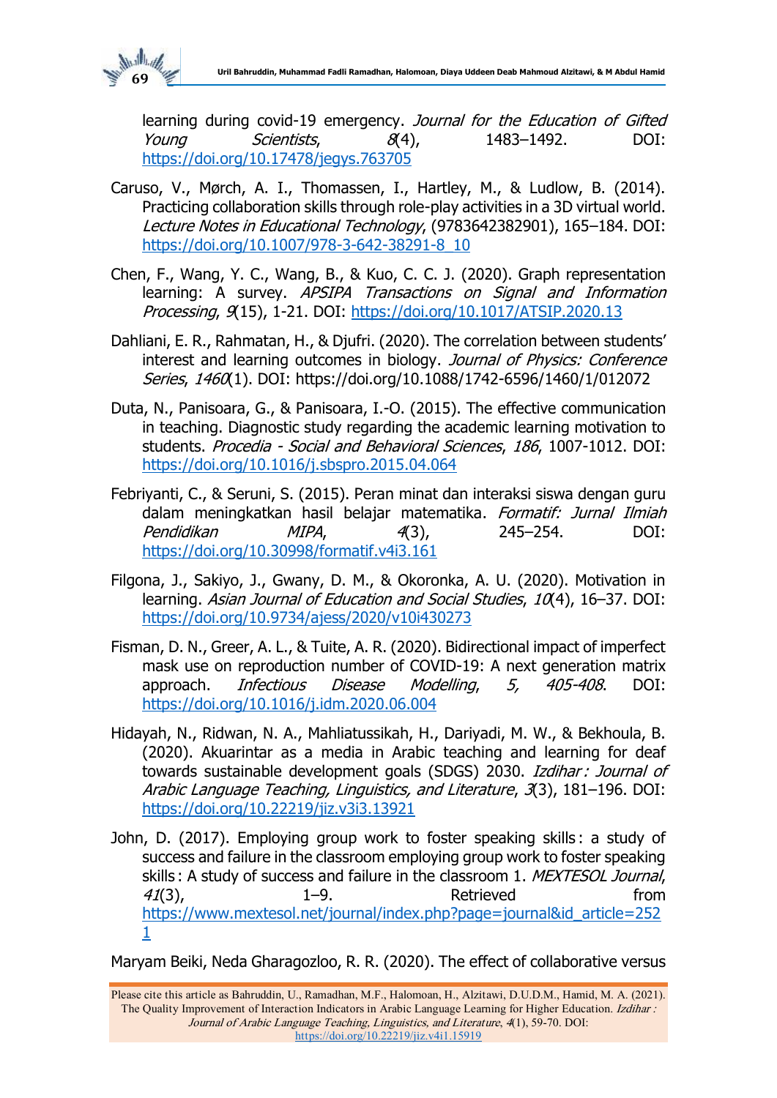

learning during covid-19 emergency. Journal for the Education of Gifted Young Scientists, 8(4), 1483–1492. DOI: <https://doi.org/10.17478/jegys.763705>

- Caruso, V., Mørch, A. I., Thomassen, I., Hartley, M., & Ludlow, B. (2014). Practicing collaboration skills through role-play activities in a 3D virtual world. Lecture Notes in Educational Technology, (9783642382901), 165–184. DOI: [https://doi.org/10.1007/978-3-642-38291-8\\_10](https://doi.org/10.1007/978-3-642-38291-8_10)
- Chen, F., Wang, Y. C., Wang, B., & Kuo, C. C. J. (2020). Graph representation learning: A survey. APSIPA Transactions on Signal and Information Processing, 9(15), 1-21. DOI: <https://doi.org/10.1017/ATSIP.2020.13>
- Dahliani, E. R., Rahmatan, H., & Djufri. (2020). The correlation between students' interest and learning outcomes in biology. Journal of Physics: Conference Series, 1460(1). DOI: https://doi.org/10.1088/1742-6596/1460/1/012072
- Duta, N., Panisoara, G., & Panisoara, I.-O. (2015). The effective communication in teaching. Diagnostic study regarding the academic learning motivation to students. Procedia - Social and Behavioral Sciences, 186, 1007-1012. DOI: <https://doi.org/10.1016/j.sbspro.2015.04.064>
- Febriyanti, C., & Seruni, S. (2015). Peran minat dan interaksi siswa dengan guru dalam meningkatkan hasil belajar matematika. Formatif: Jurnal Ilmiah Pendidikan MIPA, 4(3), 245–254. DOI: <https://doi.org/10.30998/formatif.v4i3.161>
- Filgona, J., Sakiyo, J., Gwany, D. M., & Okoronka, A. U. (2020). Motivation in learning. Asian Journal of Education and Social Studies, 10(4), 16-37. DOI: <https://doi.org/10.9734/ajess/2020/v10i430273>
- Fisman, D. N., Greer, A. L., & Tuite, A. R. (2020). Bidirectional impact of imperfect mask use on reproduction number of COVID-19: A next generation matrix approach. Infectious Disease Modelling, 5, 405-408. DOI: <https://doi.org/10.1016/j.idm.2020.06.004>
- Hidayah, N., Ridwan, N. A., Mahliatussikah, H., Dariyadi, M. W., & Bekhoula, B. (2020). Akuarintar as a media in Arabic teaching and learning for deaf towards sustainable development goals (SDGS) 2030. Izdihar: Journal of Arabic Language Teaching, Linguistics, and Literature, 3(3), 181–196. DOI: <https://doi.org/10.22219/jiz.v3i3.13921>
- John, D. (2017). Employing group work to foster speaking skills : a study of success and failure in the classroom employing group work to foster speaking skills : A study of success and failure in the classroom 1. MEXTESOL Journal, 41(3), 1–9. Retrieved from [https://www.mextesol.net/journal/index.php?page=journal&id\\_article=252](https://www.mextesol.net/journal/index.php?page=journal&id_article=2521) [1](https://www.mextesol.net/journal/index.php?page=journal&id_article=2521)

Maryam Beiki, Neda Gharagozloo, R. R. (2020). The effect of collaborative versus

Please cite this article as Bahruddin, U., Ramadhan, M.F., Halomoan, H., Alzitawi, D.U.D.M., Hamid, M. A. (2021). The Quality Improvement of Interaction Indicators in Arabic Language Learning for Higher Education. Izdihar : Journal of Arabic Language Teaching, Linguistics, and Literature, 4(1), 59-70. DOI: [https://doi.org/10.22219/jiz.v4i1.15919](https://ejournal.umm.ac.id/index.php/izdihar/article/view/15919)